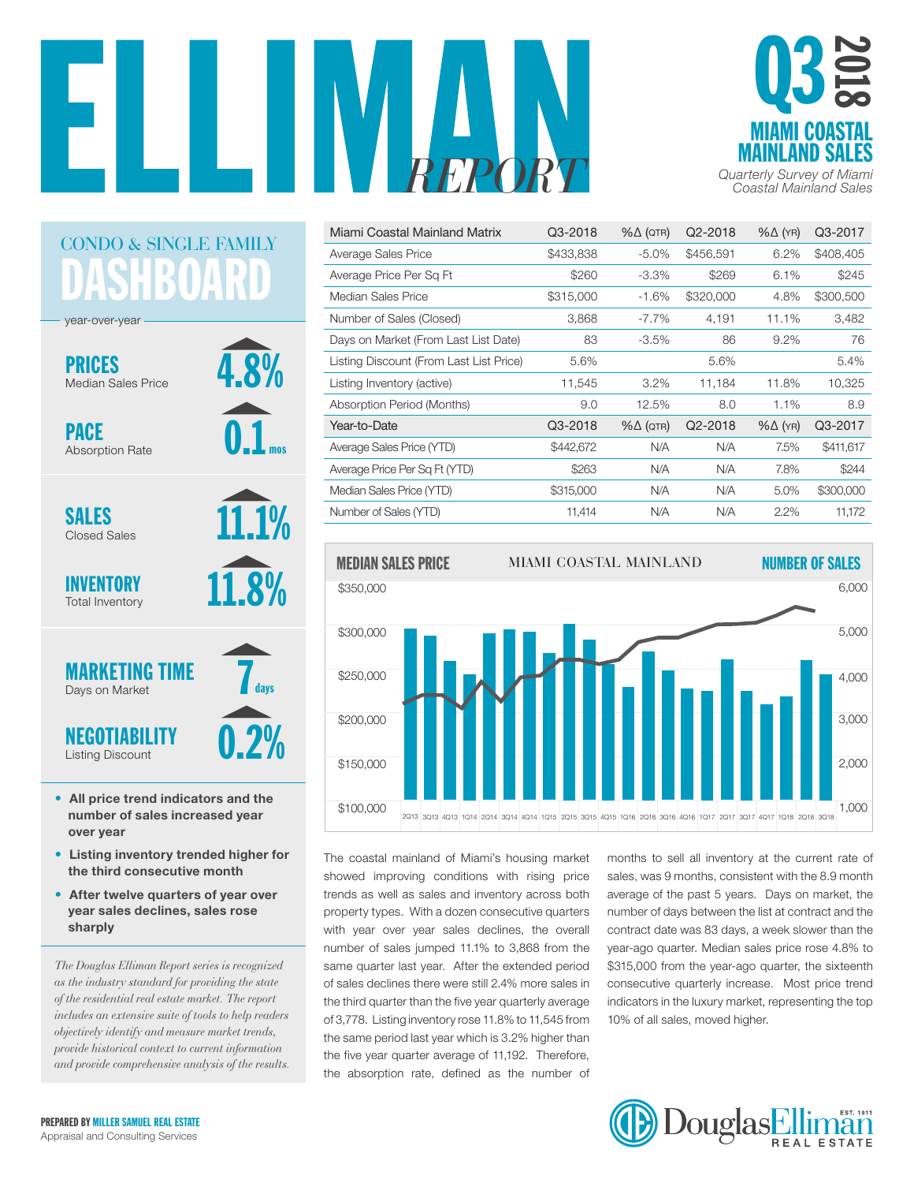



| Miami Coastal Mainland Matrix           | Q3-2018   | $% \triangle (QTR)$ | Q2-2018   | $% \triangle (YR)$ | Q3-2017   |
|-----------------------------------------|-----------|---------------------|-----------|--------------------|-----------|
| Average Sales Price                     | \$433,838 | $-5.0\%$            | \$456,591 | 6.2%               | \$408,405 |
| Average Price Per Sq Ft                 | \$260     | $-3.3%$             | \$269     | 6.1%               | \$245     |
| Median Sales Price                      | \$315,000 | $-1.6%$             | \$320,000 | 4.8%               | \$300,500 |
| Number of Sales (Closed)                | 3,868     | $-7.7\%$            | 4,191     | 11.1%              | 3,482     |
| Days on Market (From Last List Date)    | 83        | $-3.5%$             | 86        | 9.2%               | 76        |
| Listing Discount (From Last List Price) | 5.6%      |                     | 5.6%      |                    | 5.4%      |
| Listing Inventory (active)              | 11,545    | 3.2%                | 11,184    | 11.8%              | 10,325    |
| Absorption Period (Months)              | 9.0       | 12.5%               | 8.0       | 1.1%               | 8.9       |
| Year-to-Date                            | Q3-2018   | $% \triangle (QTR)$ | Q2-2018   | $% \triangle (YR)$ | Q3-2017   |
| Average Sales Price (YTD)               | \$442,672 | N/A                 | N/A       | 7.5%               | \$411,617 |
| Average Price Per Sq Ft (YTD)           | \$263     | N/A                 | N/A       | 7.8%               | \$244     |
| Median Sales Price (YTD)                | \$315,000 | N/A                 | N/A       | 5.0%               | \$300,000 |
| Number of Sales (YTD)                   |           |                     |           |                    |           |



The coastal mainland of Miami's housing market showed improving conditions with rising price trends as well as sales and inventory across both property types. With a dozen consecutive quarters number of days between the list at contract and t with year over year sales declines, the overall number of sales jumped 11.1% to 3,868 from the same quarter last year. After the extended period of sales declines there were still 2.4% more sales in the third quarter than the five year quarterly average of 3,778. Listing inventory rose 11.8% to 11,545 from the same period last year which is  $3.2\%$  higher than the five year quarter average of 11,192. Therefore, the absorption rate, defined as the number of

months to sell all inventory at the current rate of sales, was 9 months, consistent with the 8.9 month average of the past 5 years. Days on market, the number of days between the list at contract and the contract date was 83 days, a week slower than the year-ago quarter. Median sales price rose 4.8% to \$315,000 from the year-ago quarter, the sixteenth consecutive quarterly increase. Most price trend indicators in the luxury market, representing the top 10% of all sales, moved higher.



### DASHBOARD CONDO & SINGLE FAMILY

4.8%

0.1

mos

11.1%

**12%** 

year-over-year

PRICES Median Sales Price

PACE Absorption Rate

SALES Closed Sales

INVENTORY Total Inventory



- All price trend indicators and the number of sales increased year over year
- Listing inventory trended higher for the third consecutive month
- After twelve quarters of year over year sales declines, sales rose sharply

*The Douglas Elliman Report series is recognized as the industry standard for providing the state of the residential real estate market. The report includes an extensive suite of tools to help readers objectively identify and measure market trends, provide historical context to current information and provide comprehensive analysis of the results.*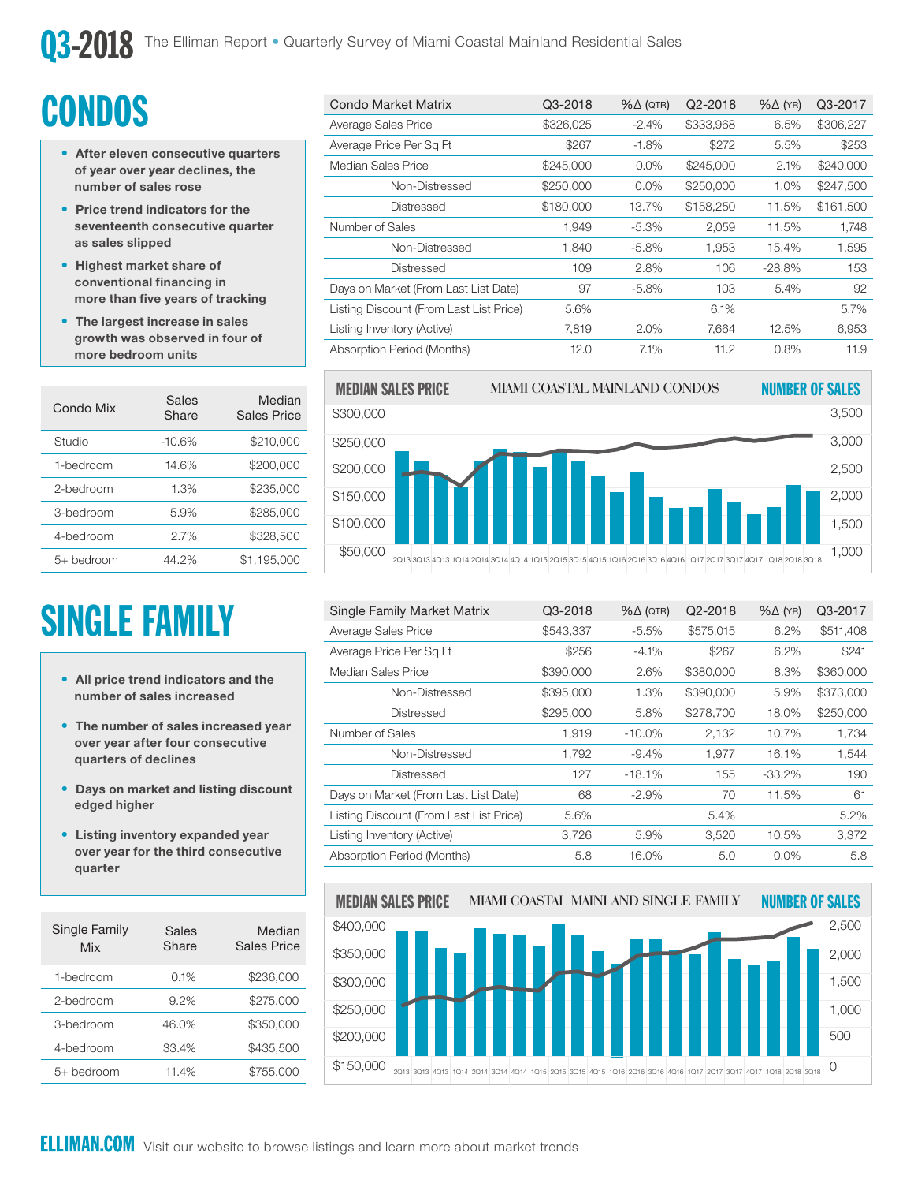# **CONDOS**

- After eleven consecutive quarters of year over year declines, the number of sales rose
- Price trend indicators for the seventeenth consecutive quarter as sales slipped
- Highest market share of conventional financing in more than five years of tracking
- The largest increase in sales growth was observed in four of more bedroom units

| Condo Mix  | Sales<br>Share | Median<br>Sales Price |
|------------|----------------|-----------------------|
| Studio     | $-10.6%$       | \$210,000             |
| 1-hedroom  | 14.6%          | \$200.000             |
| 2-bedroom  | 1.3%           | \$235,000             |
| 3-bedroom  | 5.9%           | \$285,000             |
| 4-bedroom  | 2.7%           | \$328,500             |
| 5+ bedroom | 44.2%          | \$1,195,000           |

# SINGLE FAMILY

- All price trend indicators and the number of sales increased
- The number of sales increased year over year after four consecutive quarters of declines
- Days on market and listing discount edged higher
- Listing inventory expanded year over year for the third consecutive quarter

| Single Family<br>Mix | Sales<br>Share | Median<br><b>Sales Price</b> |
|----------------------|----------------|------------------------------|
| 1-bedroom            | 0.1%           | \$236,000                    |
| 2-bedroom            | $9.2\%$        | \$275,000                    |
| 3-bedroom            | 46.0%          | \$350,000                    |
| 4-bedroom            | 33.4%          | \$435,500                    |
| 5+ bedroom           | 11.4%          | \$755.000                    |

| <b>Condo Market Matrix</b>              | Q3-2018   | $% \triangle (QTR)$ | Q2-2018   | $% \triangle (YR)$ | Q3-2017   |
|-----------------------------------------|-----------|---------------------|-----------|--------------------|-----------|
| Average Sales Price                     | \$326,025 | $-2.4%$             | \$333,968 | 6.5%               | \$306,227 |
| Average Price Per Sq Ft                 | \$267     | $-1.8%$             | \$272     | 5.5%               | \$253     |
| Median Sales Price                      | \$245,000 | 0.0%                | \$245,000 | 2.1%               | \$240,000 |
| Non-Distressed                          | \$250,000 | $0.0\%$             | \$250,000 | 1.0%               | \$247,500 |
| Distressed                              | \$180,000 | 13.7%               | \$158,250 | 11.5%              | \$161,500 |
| Number of Sales                         | 1,949     | $-5.3%$             | 2,059     | 11.5%              | 1,748     |
| Non-Distressed                          | 1,840     | $-5.8%$             | 1,953     | 15.4%              | 1,595     |
| Distressed                              | 109       | 2.8%                | 106       | $-28.8%$           | 153       |
| Days on Market (From Last List Date)    | 97        | $-5.8%$             | 103       | 5.4%               | 92        |
| Listing Discount (From Last List Price) | 5.6%      |                     | 6.1%      |                    | 5.7%      |
| Listing Inventory (Active)              | 7,819     | 2.0%                | 7,664     | 12.5%              | 6,953     |
| Absorption Period (Months)              | 12.0      | 7.1%                | 11.2      | 0.8%               | 11.9      |



| Single Family Market Matrix             | Q3-2018   | $% \triangle (QTR)$ | Q2-2018   | $% \triangle (YR)$ | Q3-2017   |
|-----------------------------------------|-----------|---------------------|-----------|--------------------|-----------|
| Average Sales Price                     | \$543,337 | $-5.5%$             | \$575,015 | 6.2%               | \$511,408 |
| Average Price Per Sq Ft                 | \$256     | $-4.1%$             | \$267     | 6.2%               | \$241     |
| Median Sales Price                      | \$390,000 | 2.6%                | \$380,000 | 8.3%               | \$360,000 |
| Non-Distressed                          | \$395,000 | 1.3%                | \$390,000 | 5.9%               | \$373,000 |
| Distressed                              | \$295,000 | 5.8%                | \$278,700 | 18.0%              | \$250,000 |
| Number of Sales                         | 1.919     | $-10.0\%$           | 2,132     | 10.7%              | 1.734     |
| Non-Distressed                          | 1,792     | $-9.4%$             | 1.977     | 16.1%              | 1,544     |
| Distressed                              | 127       | $-18.1%$            | 155       | $-33.2\%$          | 190       |
| Days on Market (From Last List Date)    | 68        | $-2.9\%$            | 70        | 11.5%              | 61        |
| Listing Discount (From Last List Price) | 5.6%      |                     | 5.4%      |                    | 5.2%      |
| Listing Inventory (Active)              | 3,726     | 5.9%                | 3,520     | 10.5%              | 3,372     |
| Absorption Period (Months)              | 5.8       | 16.0%               | 5.0       | $0.0\%$            | 5.8       |

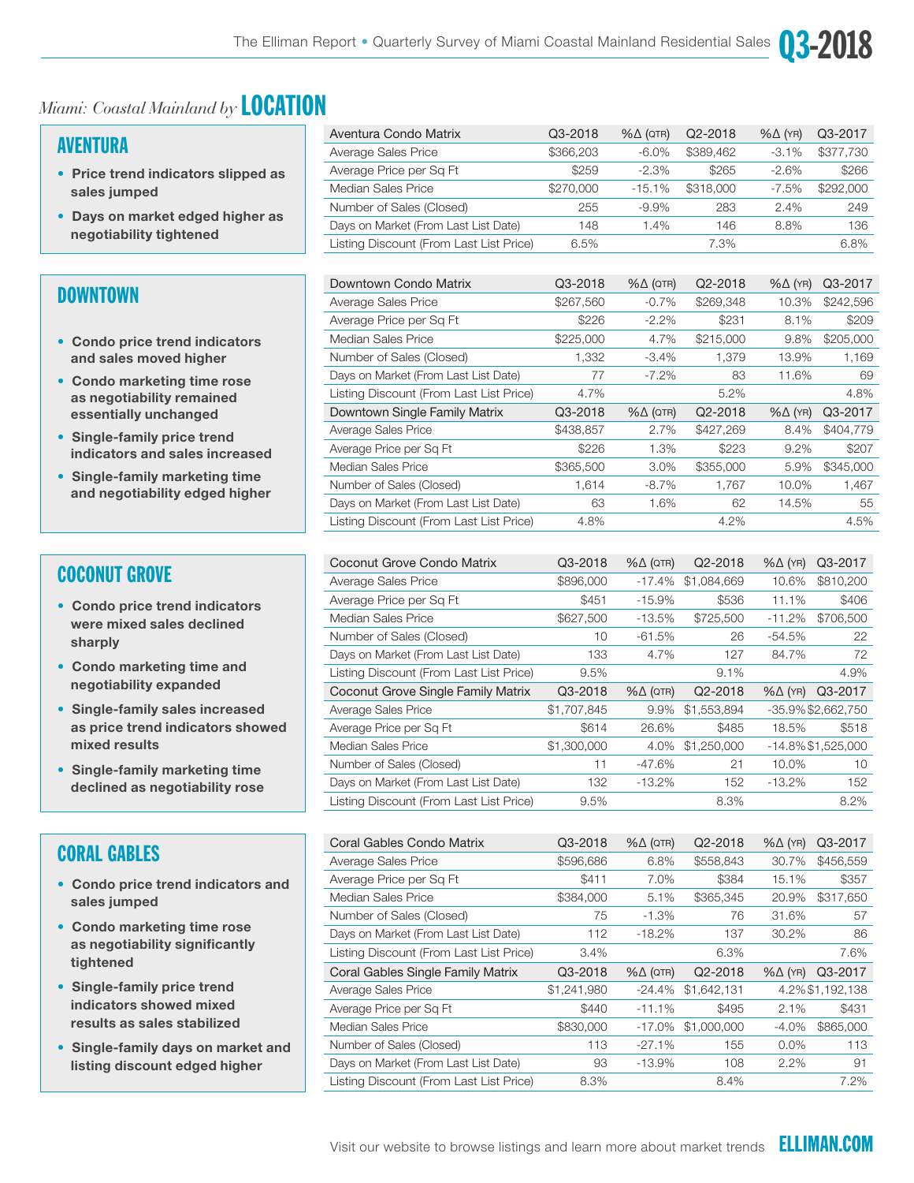

#### AVENTURA

- Price trend indicators slipped as sales jumped
- Days on market edged higher as negotiability tightened

#### DOWNTOWN

- Condo price trend indicators and sales moved higher
- Condo marketing time rose as negotiability remained essentially unchanged
- Single-family price trend indicators and sales increased
- Single-family marketing time and negotiability edged higher

#### COCONUT GROVE

- Condo price trend indicators were mixed sales declined sharply
- Condo marketing time and negotiability expanded
- Single-family sales increased as price trend indicators showed mixed results
- Single-family marketing time declined as negotiability rose

#### CORAL GABLES

- Condo price trend indicators and sales jumped
- Condo marketing time rose as negotiability significantly tightened
- Single-family price trend indicators showed mixed results as sales stabilized
- Single-family days on market and listing discount edged higher

| Aventura Condo Matrix                   | Q3-2018   | $% \triangle (QTR)$ | Q2-2018   | $% \triangle (YR)$ | Q3-2017   |
|-----------------------------------------|-----------|---------------------|-----------|--------------------|-----------|
| Average Sales Price                     | \$366,203 | $-6.0\%$            | \$389.462 | $-3.1\%$           | \$377,730 |
| Average Price per Sq Ft                 | \$259     | $-2.3%$             | \$265     | $-2.6%$            | \$266     |
| Median Sales Price                      | \$270,000 | $-15.1%$            | \$318,000 | $-7.5%$            | \$292,000 |
| Number of Sales (Closed)                | 255       | $-9.9%$             | 283       | 2.4%               | 249       |
| Days on Market (From Last List Date)    | 148       | $1.4\%$             | 146       | 8.8%               | 136       |
| Listing Discount (From Last List Price) | 6.5%      |                     | 7.3%      |                    | 6.8%      |

 $03-2$ 

| Downtown Condo Matrix                   | Q3-2018   | $% \triangle (QTR)$ | Q2-2018   | $% \triangle (YR)$ | Q3-2017   |
|-----------------------------------------|-----------|---------------------|-----------|--------------------|-----------|
| Average Sales Price                     | \$267,560 | $-0.7%$             | \$269,348 | 10.3%              | \$242,596 |
| Average Price per Sq Ft                 | \$226     | $-2.2\%$            | \$231     | 8.1%               | \$209     |
| Median Sales Price                      | \$225,000 | 4.7%                | \$215,000 | 9.8%               | \$205,000 |
| Number of Sales (Closed)                | 1,332     | $-3.4\%$            | 1.379     | 13.9%              | 1,169     |
| Days on Market (From Last List Date)    | 77        | $-7.2\%$            | 83        | 11.6%              | 69        |
| Listing Discount (From Last List Price) | 4.7%      |                     | 5.2%      |                    | 4.8%      |
| Downtown Single Family Matrix           | Q3-2018   | $% \triangle (QTR)$ | Q2-2018   | $% \triangle (YR)$ | Q3-2017   |
|                                         |           |                     |           |                    |           |
| Average Sales Price                     | \$438,857 | 2.7%                | \$427,269 | 8.4%               | \$404,779 |
| Average Price per Sq Ft                 | \$226     | 1.3%                | \$223     | $9.2\%$            | \$207     |
| Median Sales Price                      | \$365,500 | $3.0\%$             | \$355,000 | 5.9%               | \$345,000 |
| Number of Sales (Closed)                | 1,614     | $-8.7\%$            | 1,767     | 10.0%              | 1,467     |
| Days on Market (From Last List Date)    | 63        | 1.6%                | 62        | 14.5%              | 55        |

| Coconut Grove Condo Matrix              | Q3-2018     | $% \triangle (QTR)$ | Q <sub>2</sub> -2018 | $% \triangle (YR)$ | Q3-2017            |
|-----------------------------------------|-------------|---------------------|----------------------|--------------------|--------------------|
| Average Sales Price                     | \$896,000   | $-17.4%$            | \$1,084,669          | 10.6%              | \$810,200          |
| Average Price per Sq Ft                 | \$451       | $-15.9%$            | \$536                | 11.1%              | \$406              |
| Median Sales Price                      | \$627,500   | $-13.5%$            | \$725,500            | $-11.2%$           | \$706,500          |
| Number of Sales (Closed)                | 10          | $-61.5%$            | 26                   | $-54.5%$           | 22                 |
| Days on Market (From Last List Date)    | 133         | 4.7%                | 127                  | 84.7%              | 72                 |
| Listing Discount (From Last List Price) | 9.5%        |                     | 9.1%                 |                    | 4.9%               |
|                                         |             |                     |                      |                    |                    |
| Coconut Grove Single Family Matrix      | Q3-2018     | $% \triangle (QTR)$ | Q2-2018              | $%$ $\Delta$ (YR)  | Q3-2017            |
| Average Sales Price                     | \$1,707,845 | 9.9%                | \$1,553,894          |                    | -35.9% \$2,662,750 |
| Average Price per Sq Ft                 | \$614       | 26.6%               | \$485                | 18.5%              | \$518              |
| Median Sales Price                      | \$1,300,000 | 4.0%                | \$1,250,000          |                    | -14.8% \$1,525,000 |
| Number of Sales (Closed)                | 11          | $-47.6%$            | 21                   | 10.0%              | 10                 |
| Days on Market (From Last List Date)    | 132         | $-13.2%$            | 152                  | $-13.2%$           | 152                |

| Coral Gables Condo Matrix               | Q3-2018     | $% \triangle (QTR)$ | Q <sub>2</sub> -2018 | $% \triangle (YR)$ | Q3-2017         |
|-----------------------------------------|-------------|---------------------|----------------------|--------------------|-----------------|
| Average Sales Price                     | \$596,686   | 6.8%                | \$558,843            | 30.7%              | \$456,559       |
| Average Price per Sq Ft                 | \$411       | 7.0%                | \$384                | 15.1%              | \$357           |
| Median Sales Price                      | \$384,000   | 5.1%                | \$365,345            | 20.9%              | \$317,650       |
| Number of Sales (Closed)                | 75          | $-1.3%$             | 76                   | 31.6%              | 57              |
| Days on Market (From Last List Date)    | 112         | $-18.2%$            | 137                  | 30.2%              | 86              |
| Listing Discount (From Last List Price) | 3.4%        |                     | 6.3%                 |                    | 7.6%            |
|                                         |             |                     |                      |                    |                 |
| Coral Gables Single Family Matrix       | Q3-2018     | $% \triangle (QTR)$ | Q <sub>2</sub> -2018 | $% \triangle (YR)$ | Q3-2017         |
| Average Sales Price                     | \$1,241,980 | $-24.4%$            | \$1,642,131          |                    | 4.2%\$1,192,138 |
| Average Price per Sq Ft                 | \$440       | $-11.1%$            | \$495                | 2.1%               | \$431           |
| Median Sales Price                      | \$830,000   | $-17.0%$            | \$1,000,000          | $-4.0%$            | \$865,000       |
| Number of Sales (Closed)                | 113         | $-27.1%$            | 155                  | $0.0\%$            | 113             |
| Days on Market (From Last List Date)    | 93          | $-13.9%$            | 108                  | 2.2%               | 91              |